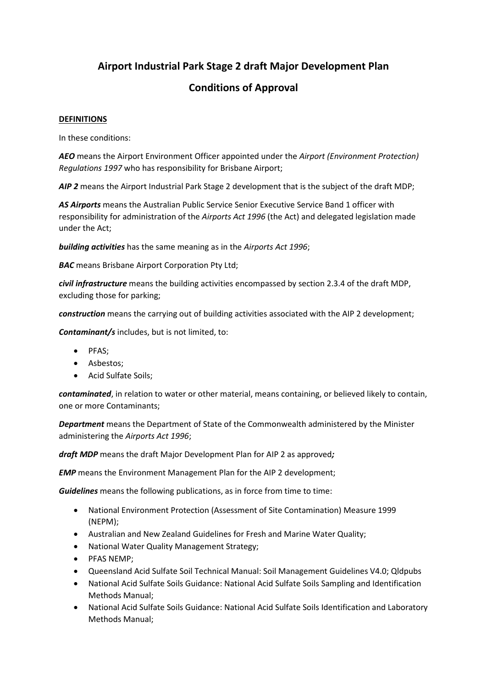# **Airport Industrial Park Stage 2 draft Major Development Plan**

# **Conditions of Approval**

### **DEFINITIONS**

In these conditions:

*AEO* means the Airport Environment Officer appointed under the *Airport (Environment Protection) Regulations 1997* who has responsibility for Brisbane Airport;

*AIP 2* means the Airport Industrial Park Stage 2 development that is the subject of the draft MDP;

*AS Airports* means the Australian Public Service Senior Executive Service Band 1 officer with responsibility for administration of the *Airports Act 1996* (the Act) and delegated legislation made under the Act;

*building activities* has the same meaning as in the *Airports Act 1996*;

**BAC** means Brisbane Airport Corporation Pty Ltd;

*civil infrastructure* means the building activities encompassed by section 2.3.4 of the draft MDP, excluding those for parking;

*construction* means the carrying out of building activities associated with the AIP 2 development;

*Contaminant/s* includes, but is not limited, to:

- PFAS;
- Asbestos;
- Acid Sulfate Soils:

*contaminated*, in relation to water or other material, means containing, or believed likely to contain, one or more Contaminants;

*Department* means the Department of State of the Commonwealth administered by the Minister administering the *Airports Act 1996*;

*draft MDP* means the draft Major Development Plan for AIP 2 as approved*;* 

**EMP** means the Environment Management Plan for the AIP 2 development;

*Guidelines* means the following publications, as in force from time to time:

- National Environment Protection (Assessment of Site Contamination) Measure 1999 (NEPM);
- Australian and New Zealand Guidelines for Fresh and Marine Water Quality;
- National Water Quality Management Strategy;
- PFAS NEMP;
- Queensland Acid Sulfate Soil Technical Manual: Soil Management Guidelines V4.0; Qldpubs
- National Acid Sulfate Soils Guidance: National Acid Sulfate Soils Sampling and Identification Methods Manual;
- National Acid Sulfate Soils Guidance: National Acid Sulfate Soils Identification and Laboratory Methods Manual;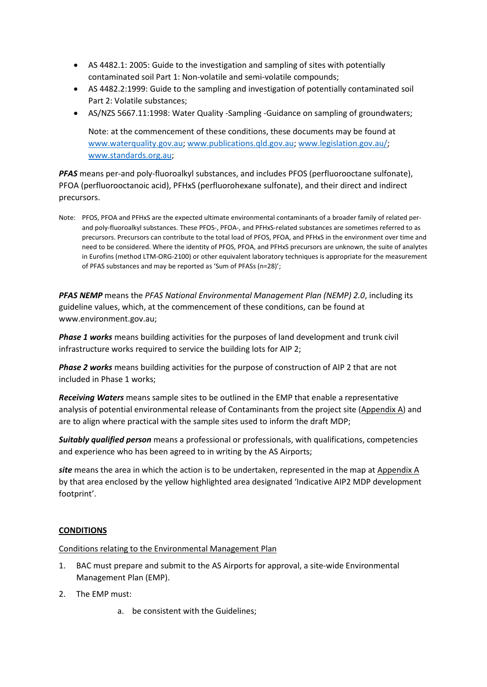- AS 4482.1: 2005: Guide to the investigation and sampling of sites with potentially contaminated soil Part 1: Non-volatile and semi-volatile compounds;
- AS 4482.2:1999: Guide to the sampling and investigation of potentially contaminated soil Part 2: Volatile substances;
- AS/NZS 5667.11:1998: Water Quality -Sampling -Guidance on sampling of groundwaters;

Note: at the commencement of these conditions, these documents may be found at [www.waterquality.gov.au;](http://www.waterquality.gov.au/) [www.publications.qld.gov.au;](http://www.publications.qld.gov.au/) [www.legislation.gov.au/;](https://www.legislation.gov.au/) [www.standards.org.au;](http://www.standards.org.au/)

*PFAS* means per-and poly-fluoroalkyl substances, and includes PFOS (perfluorooctane sulfonate), PFOA (perfluorooctanoic acid), PFHxS (perfluorohexane sulfonate), and their direct and indirect precursors.

Note: PFOS, PFOA and PFHxS are the expected ultimate environmental contaminants of a broader family of related perand poly-fluoroalkyl substances. These PFOS-, PFOA-, and PFHxS-related substances are sometimes referred to as precursors. Precursors can contribute to the total load of PFOS, PFOA, and PFHxS in the environment over time and need to be considered. Where the identity of PFOS, PFOA, and PFHxS precursors are unknown, the suite of analytes in Eurofins (method LTM-ORG-2100) or other equivalent laboratory techniques is appropriate for the measurement of PFAS substances and may be reported as 'Sum of PFASs (n=28)';

*PFAS NEMP* means the *PFAS National Environmental Management Plan (NEMP) 2.0*, including its guideline values, which, at the commencement of these conditions, can be found at www.environment.gov.au;

*Phase 1 works* means building activities for the purposes of land development and trunk civil infrastructure works required to service the building lots for AIP 2;

*Phase 2 works* means building activities for the purpose of construction of AIP 2 that are not included in Phase 1 works;

*Receiving Waters* means sample sites to be outlined in the EMP that enable a representative analysis of potential environmental release of Contaminants from the project site (Appendix A) and are to align where practical with the sample sites used to inform the draft MDP;

*Suitably qualified person* means a professional or professionals, with qualifications, competencies and experience who has been agreed to in writing by the AS Airports;

*site* means the area in which the action is to be undertaken, represented in the map at Appendix A by that area enclosed by the yellow highlighted area designated 'Indicative AIP2 MDP development footprint'.

## **CONDITIONS**

Conditions relating to the Environmental Management Plan

- 1. BAC must prepare and submit to the AS Airports for approval, a site-wide Environmental Management Plan (EMP).
- 2. The EMP must:
	- a. be consistent with the Guidelines;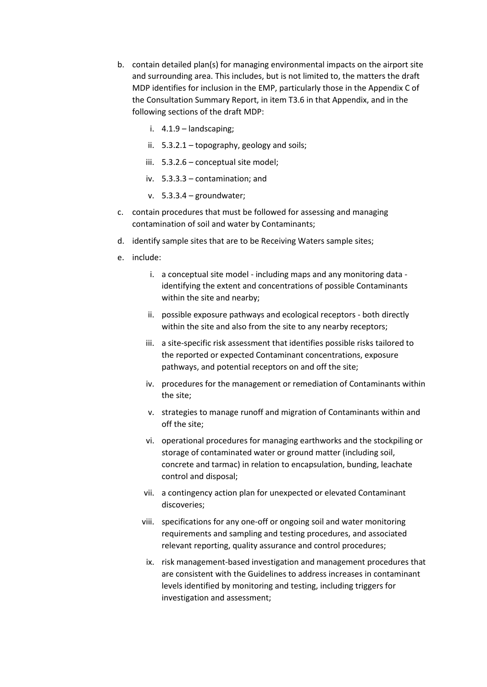- b. contain detailed plan(s) for managing environmental impacts on the airport site and surrounding area. This includes, but is not limited to, the matters the draft MDP identifies for inclusion in the EMP, particularly those in the Appendix C of the Consultation Summary Report, in item T3.6 in that Appendix, and in the following sections of the draft MDP:
	- i. 4.1.9 landscaping;
	- ii. 5.3.2.1 topography, geology and soils;
	- iii. 5.3.2.6 conceptual site model;
	- iv. 5.3.3.3 contamination; and
	- v. 5.3.3.4 groundwater;
- c. contain procedures that must be followed for assessing and managing contamination of soil and water by Contaminants;
- d. identify sample sites that are to be Receiving Waters sample sites;
- e. include:
	- i. a conceptual site model including maps and any monitoring data identifying the extent and concentrations of possible Contaminants within the site and nearby;
	- ii. possible exposure pathways and ecological receptors both directly within the site and also from the site to any nearby receptors;
	- iii. a site-specific risk assessment that identifies possible risks tailored to the reported or expected Contaminant concentrations, exposure pathways, and potential receptors on and off the site;
	- iv. procedures for the management or remediation of Contaminants within the site;
	- v. strategies to manage runoff and migration of Contaminants within and off the site;
	- vi. operational procedures for managing earthworks and the stockpiling or storage of contaminated water or ground matter (including soil, concrete and tarmac) in relation to encapsulation, bunding, leachate control and disposal;
	- vii. a contingency action plan for unexpected or elevated Contaminant discoveries;
	- viii. specifications for any one-off or ongoing soil and water monitoring requirements and sampling and testing procedures, and associated relevant reporting, quality assurance and control procedures;
		- ix. risk management-based investigation and management procedures that are consistent with the Guidelines to address increases in contaminant levels identified by monitoring and testing, including triggers for investigation and assessment;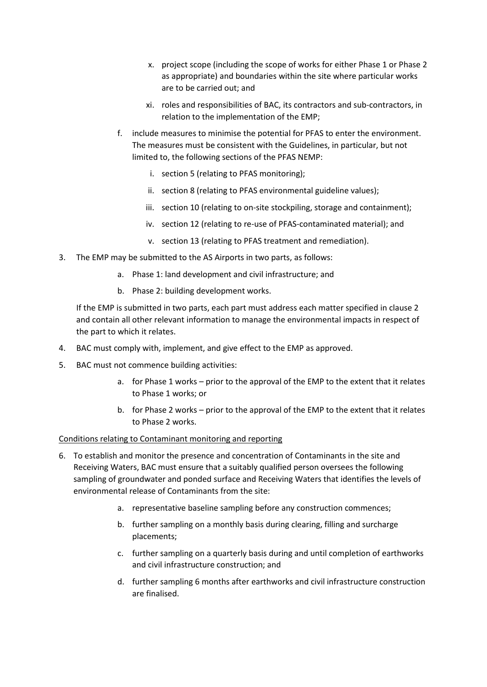- x. project scope (including the scope of works for either Phase 1 or Phase 2 as appropriate) and boundaries within the site where particular works are to be carried out; and
- xi. roles and responsibilities of BAC, its contractors and sub-contractors, in relation to the implementation of the EMP;
- f. include measures to minimise the potential for PFAS to enter the environment. The measures must be consistent with the Guidelines, in particular, but not limited to, the following sections of the PFAS NEMP:
	- i. section 5 (relating to PFAS monitoring);
	- ii. section 8 (relating to PFAS environmental guideline values);
	- iii. section 10 (relating to on-site stockpiling, storage and containment);
	- iv. section 12 (relating to re-use of PFAS-contaminated material); and
	- v. section 13 (relating to PFAS treatment and remediation).
- 3. The EMP may be submitted to the AS Airports in two parts, as follows:
	- a. Phase 1: land development and civil infrastructure; and
	- b. Phase 2: building development works.

If the EMP is submitted in two parts, each part must address each matter specified in clause 2 and contain all other relevant information to manage the environmental impacts in respect of the part to which it relates.

- 4. BAC must comply with, implement, and give effect to the EMP as approved.
- 5. BAC must not commence building activities:
	- a. for Phase 1 works prior to the approval of the EMP to the extent that it relates to Phase 1 works; or
	- b. for Phase 2 works prior to the approval of the EMP to the extent that it relates to Phase 2 works.

### Conditions relating to Contaminant monitoring and reporting

- 6. To establish and monitor the presence and concentration of Contaminants in the site and Receiving Waters, BAC must ensure that a suitably qualified person oversees the following sampling of groundwater and ponded surface and Receiving Waters that identifies the levels of environmental release of Contaminants from the site:
	- a. representative baseline sampling before any construction commences;
	- b. further sampling on a monthly basis during clearing, filling and surcharge placements;
	- c. further sampling on a quarterly basis during and until completion of earthworks and civil infrastructure construction; and
	- d. further sampling 6 months after earthworks and civil infrastructure construction are finalised.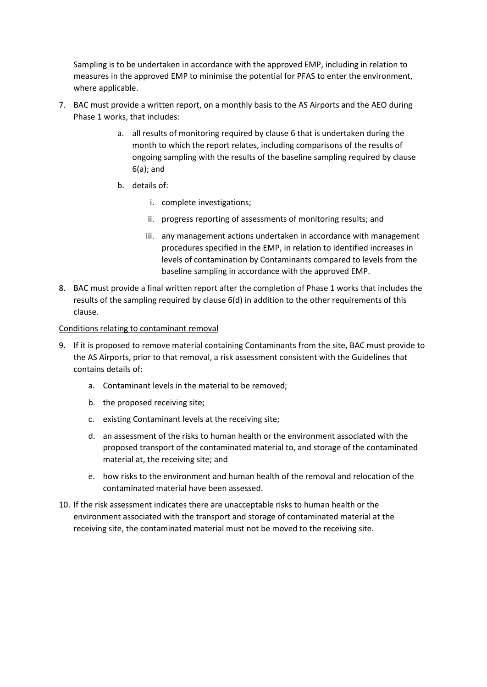Sampling is to be undertaken in accordance with the approved EMP, including in relation to measures in the approved EMP to minimise the potential for PFAS to enter the environment, where applicable.

- 7. BAC must provide a written report, on a monthly basis to the AS Airports and the AEO during Phase 1 works, that includes:
	- a. all results of monitoring required by clause 6 that is undertaken during the month to which the report relates, including comparisons of the results of ongoing sampling with the results of the baseline sampling required by clause 6(a); and
	- b. details of:
		- i. complete investigations;
		- ii. progress reporting of assessments of monitoring results; and
		- iii. any management actions undertaken in accordance with management procedures specified in the EMP, in relation to identified increases in levels of contamination by Contaminants compared to levels from the baseline sampling in accordance with the approved EMP.
- 8. BAC must provide a final written report after the completion of Phase 1 works that includes the results of the sampling required by clause 6(d) in addition to the other requirements of this clause.

### Conditions relating to contaminant removal

- 9. If it is proposed to remove material containing Contaminants from the site, BAC must provide to the AS Airports, prior to that removal, a risk assessment consistent with the Guidelines that contains details of:
	- a. Contaminant levels in the material to be removed;
	- b. the proposed receiving site;
	- c. existing Contaminant levels at the receiving site;
	- d. an assessment of the risks to human health or the environment associated with the proposed transport of the contaminated material to, and storage of the contaminated material at, the receiving site; and
	- e. how risks to the environment and human health of the removal and relocation of the contaminated material have been assessed.
- 10. If the risk assessment indicates there are unacceptable risks to human health or the environment associated with the transport and storage of contaminated material at the receiving site, the contaminated material must not be moved to the receiving site.